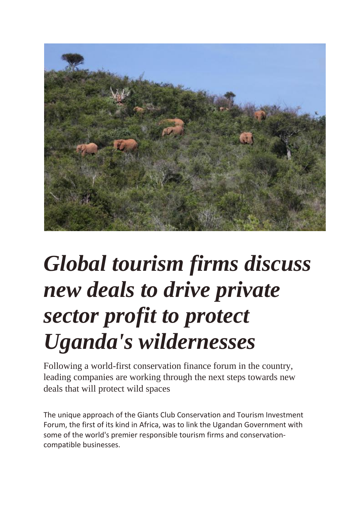

## *Global tourism firms discuss new deals to drive private sector profit to protect Uganda's wildernesses*

Following a world-first conservation finance forum in the country, leading companies are working through the next steps towards new deals that will protect wild spaces

The unique approach of the Giants Club Conservation and Tourism Investment Forum, the first of its kind in Africa, was to link the Ugandan Government with some of the world's premier responsible tourism firms and conservationcompatible businesses.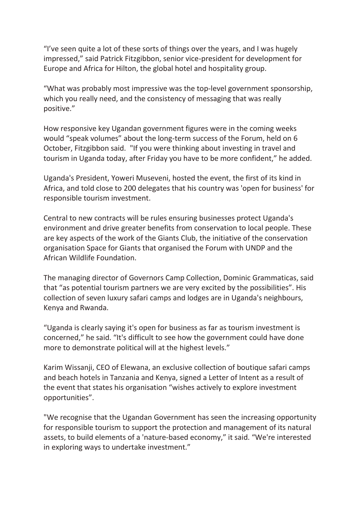"I've seen quite a lot of these sorts of things over the years, and I was hugely impressed," said Patrick Fitzgibbon, senior vice-president for development for Europe and Africa for Hilton, the global hotel and hospitality group.

"What was probably most impressive was the top-level government sponsorship, which you really need, and the consistency of messaging that was really positive."

How responsive key Ugandan government figures were in the coming weeks would "speak volumes" about the long-term success of the Forum, held on 6 October, Fitzgibbon said. "If you were thinking about investing in travel and tourism in Uganda today, after Friday you have to be more confident," he added.

Uganda's President, Yoweri Museveni, hosted the event, the first of its kind in Africa, and told close to 200 delegates that his country was 'open for business' for responsible tourism investment.

Central to new contracts will be rules ensuring businesses protect Uganda's environment and drive greater benefits from conservation to local people. These are key aspects of the work of the Giants Club, the initiative of the conservation organisation Space for Giants that organised the Forum with UNDP and the African Wildlife Foundation.

The managing director of Governors Camp Collection, Dominic Grammaticas, said that "as potential tourism partners we are very excited by the possibilities". His collection of seven luxury safari camps and lodges are in Uganda's neighbours, Kenya and Rwanda.

"Uganda is clearly saying it's open for business as far as tourism investment is concerned," he said. "It's difficult to see how the government could have done more to demonstrate political will at the highest levels."

Karim Wissanji, CEO of Elewana, an exclusive collection of boutique safari camps and beach hotels in Tanzania and Kenya, signed a Letter of Intent as a result of the event that states his organisation "wishes actively to explore investment opportunities".

"We recognise that the Ugandan Government has seen the increasing opportunity for responsible tourism to support the protection and management of its natural assets, to build elements of a 'nature-based economy," it said. "We're interested in exploring ways to undertake investment."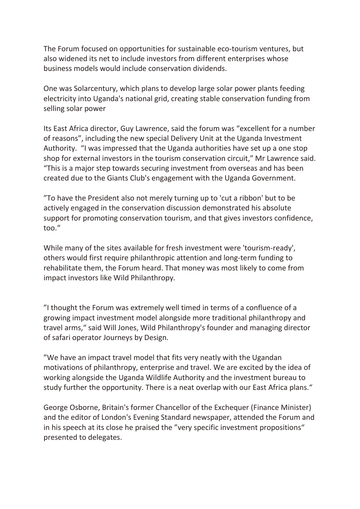The Forum focused on opportunities for sustainable eco-tourism ventures, but also widened its net to include investors from different enterprises whose business models would include conservation dividends.

One was Solarcentury, which plans to develop large solar power plants feeding electricity into Uganda's national grid, creating stable conservation funding from selling solar power

Its East Africa director, Guy Lawrence, said the forum was "excellent for a number of reasons", including the new special Delivery Unit at the Uganda Investment Authority. "I was impressed that the Uganda authorities have set up a one stop shop for external investors in the tourism conservation circuit," Mr Lawrence said. "This is a major step towards securing investment from overseas and has been created due to the Giants Club's engagement with the Uganda Government.

"To have the President also not merely turning up to 'cut a ribbon' but to be actively engaged in the conservation discussion demonstrated his absolute support for promoting conservation tourism, and that gives investors confidence, too."

While many of the sites available for fresh investment were 'tourism-ready', others would first require philanthropic attention and long-term funding to rehabilitate them, the Forum heard. That money was most likely to come from impact investors like Wild Philanthropy.

"I thought the Forum was extremely well timed in terms of a confluence of a growing impact investment model alongside more traditional philanthropy and travel arms," said Will Jones, Wild Philanthropy's founder and managing director of safari operator Journeys by Design.

"We have an impact travel model that fits very neatly with the Ugandan motivations of philanthropy, enterprise and travel. We are excited by the idea of working alongside the Uganda Wildlife Authority and the investment bureau to study further the opportunity. There is a neat overlap with our East Africa plans."

George Osborne, Britain's former Chancellor of the Exchequer (Finance Minister) and the editor of London's Evening Standard newspaper, attended the Forum and in his speech at its close he praised the "very specific investment propositions" presented to delegates.